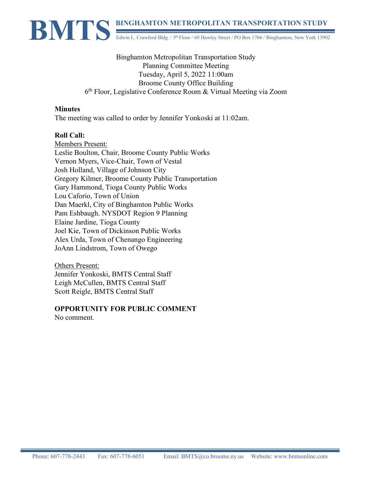

Binghamton Metropolitan Transportation Study Planning Committee Meeting Tuesday, April 5, 2022 11:00am Broome County Office Building 6th Floor, Legislative Conference Room & Virtual Meeting via Zoom

#### **Minutes**

The meeting was called to order by Jennifer Yonkoski at 11:02am.

### **Roll Call:**

Members Present: Leslie Boulton, Chair, Broome County Public Works Vernon Myers, Vice-Chair, Town of Vestal Josh Holland, Village of Johnson City Gregory Kilmer, Broome County Public Transportation Gary Hammond, Tioga County Public Works Lou Caforio, Town of Union Dan Maerkl, City of Binghamton Public Works Pam Eshbaugh. NYSDOT Region 9 Planning Elaine Jardine, Tioga County Joel Kie, Town of Dickinson Public Works Alex Urda, Town of Chenango Engineering JoAnn Lindstrom, Town of Owego

Others Present: Jennifer Yonkoski, BMTS Central Staff Leigh McCullen, BMTS Central Staff Scott Reigle, BMTS Central Staff

## **OPPORTUNITY FOR PUBLIC COMMENT**

No comment.